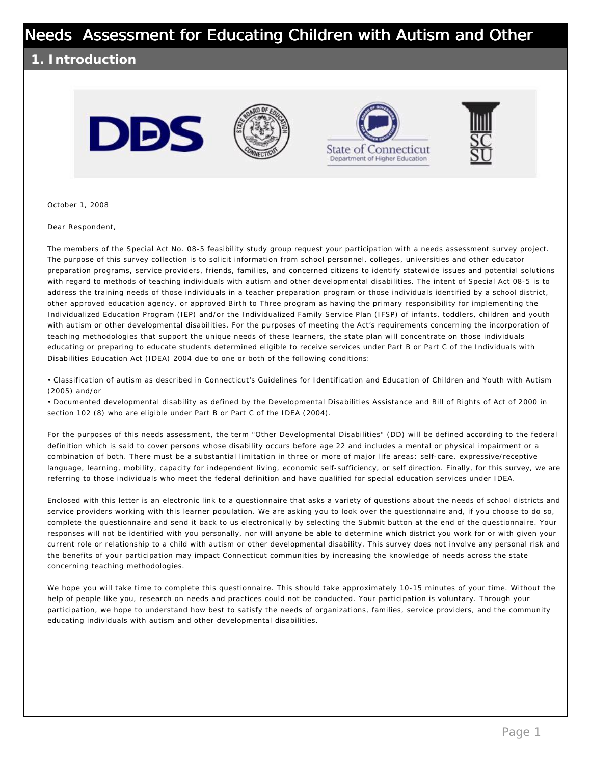### **1. Introduction**



October 1, 2008

Dear Respondent,

The members of the Special Act No. 08-5 feasibility study group request your participation with a needs assessment survey project. The purpose of this survey collection is to solicit information from school personnel, colleges, universities and other educator preparation programs, service providers, friends, families, and concerned citizens to identify statewide issues and potential solutions with regard to methods of teaching individuals with autism and other developmental disabilities. The intent of Special Act 08-5 is to address the training needs of those individuals in a teacher preparation program or those individuals identified by a school district, other approved education agency, or approved Birth to Three program as having the primary responsibility for implementing the Individualized Education Program (IEP) and/or the Individualized Family Service Plan (IFSP) of infants, toddlers, children and youth with autism or other developmental disabilities. For the purposes of meeting the Act's requirements concerning the incorporation of teaching methodologies that support the unique needs of these learners, the state plan will concentrate on those individuals educating or preparing to educate students determined eligible to receive services under Part B or Part C of the Individuals with Disabilities Education Act (IDEA) 2004 due to one or both of the following conditions:

• Classification of autism as described in Connecticut's Guidelines for Identification and Education of Children and Youth with Autism (2005) and/or

• Documented developmental disability as defined by the Developmental Disabilities Assistance and Bill of Rights of Act of 2000 in section 102 (8) who are eligible under Part B or Part C of the IDEA (2004).

For the purposes of this needs assessment, the term "Other Developmental Disabilities" (DD) will be defined according to the federal definition which is said to cover persons whose disability occurs before age 22 and includes a mental or physical impairment or a combination of both. There must be a substantial limitation in three or more of major life areas: self-care, expressive/receptive language, learning, mobility, capacity for independent living, economic self-sufficiency, or self direction. Finally, for this survey, we are referring to those individuals who meet the federal definition and have qualified for special education services under IDEA.

Enclosed with this letter is an electronic link to a questionnaire that asks a variety of questions about the needs of school districts and service providers working with this learner population. We are asking you to look over the questionnaire and, if you choose to do so, complete the questionnaire and send it back to us electronically by selecting the Submit button at the end of the questionnaire. Your responses will not be identified with you personally, nor will anyone be able to determine which district you work for or with given your current role or relationship to a child with autism or other developmental disability. This survey does not involve any personal risk and the benefits of your participation may impact Connecticut communities by increasing the knowledge of needs across the state concerning teaching methodologies.

We hope you will take time to complete this questionnaire. This should take approximately 10-15 minutes of your time. Without the help of people like you, research on needs and practices could not be conducted. Your participation is voluntary. Through your participation, we hope to understand how best to satisfy the needs of organizations, families, service providers, and the community educating individuals with autism and other developmental disabilities.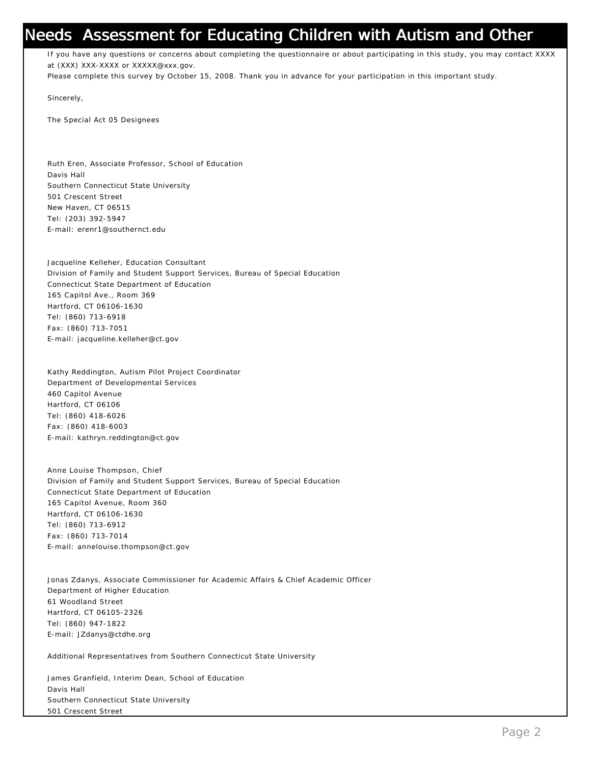If you have any questions or concerns about completing the questionnaire or about participating in this study, you may contact XXXX at (XXX) XXX-XXXX or XXXXX@xxx.gov.

Please complete this survey by October 15, 2008. Thank you in advance for your participation in this important study.

Sincerely,

The Special Act 05 Designees

Ruth Eren, Associate Professor, School of Education Davis Hall Southern Connecticut State University 501 Crescent Street New Haven, CT 06515 Tel: (203) 392-5947 E-mail: erenr1@southernct.edu

Jacqueline Kelleher, Education Consultant Division of Family and Student Support Services, Bureau of Special Education Connecticut State Department of Education 165 Capitol Ave., Room 369 Hartford, CT 06106-1630 Tel: (860) 713-6918 Fax: (860) 713-7051 E-mail: jacqueline.kelleher@ct.gov

Kathy Reddington, Autism Pilot Project Coordinator Department of Developmental Services 460 Capitol Avenue Hartford, CT 06106 Tel: (860) 418-6026 Fax: (860) 418-6003 E-mail: kathryn.reddington@ct.gov

Anne Louise Thompson, Chief Division of Family and Student Support Services, Bureau of Special Education Connecticut State Department of Education 165 Capitol Avenue, Room 360 Hartford, CT 06106-1630 Tel: (860) 713-6912 Fax: (860) 713-7014 E-mail: annelouise.thompson@ct.gov

Jonas Zdanys, Associate Commissioner for Academic Affairs & Chief Academic Officer Department of Higher Education 61 Woodland Street Hartford, CT 06105-2326 Tel: (860) 947-1822 E-mail: JZdanys@ctdhe.org

Additional Representatives from Southern Connecticut State University

James Granfield, Interim Dean, School of Education Davis Hall Southern Connecticut State University 501 Crescent Street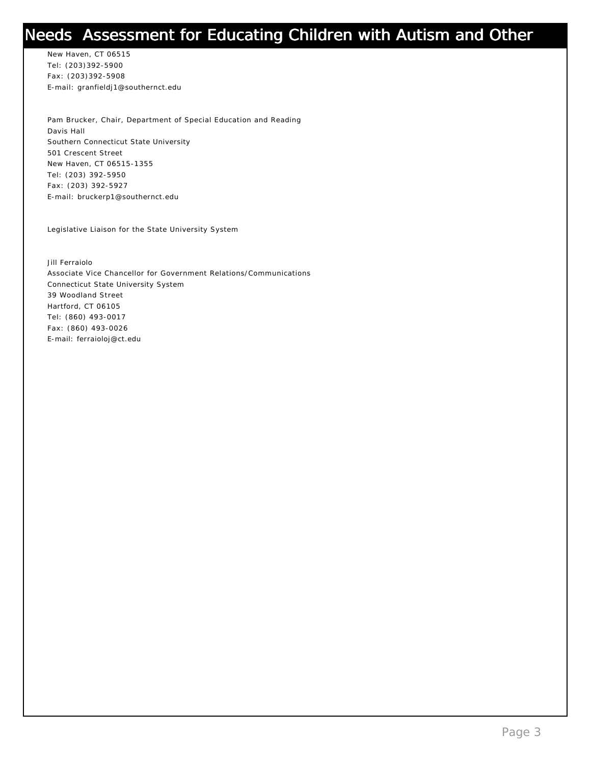New Haven, CT 06515 Tel: (203)392-5900 Fax: (203)392-5908 E-mail: granfieldj1@southernct.edu

Pam Brucker, Chair, Department of Special Education and Reading Davis Hall Southern Connecticut State University 501 Crescent Street New Haven, CT 06515-1355 Tel: (203) 392-5950 Fax: (203) 392-5927 E-mail: bruckerp1@southernct.edu

Legislative Liaison for the State University System

Jill Ferraiolo Associate Vice Chancellor for Government Relations/Communications Connecticut State University System 39 Woodland Street Hartford, CT 06105 Tel: (860) 493-0017 Fax: (860) 493-0026 E-mail: ferraioloj@ct.edu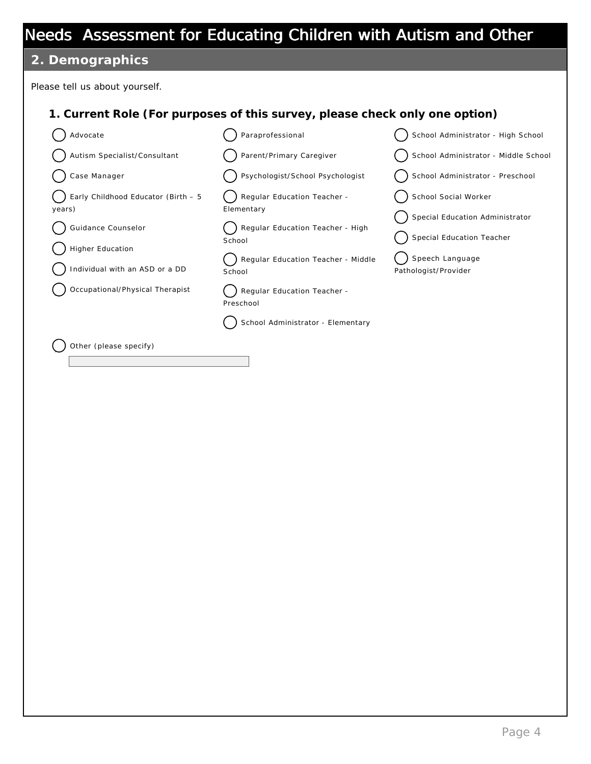## **2. Demographics**

Please tell us about yourself.

## **1. Current Role (For purposes of this survey, please check only one option)**

| Advocate                                                  | Paraprofessional                           | School Administrator - High School   |
|-----------------------------------------------------------|--------------------------------------------|--------------------------------------|
| Autism Specialist/Consultant                              | Parent/Primary Caregiver                   | School Administrator - Middle School |
| Case Manager                                              | Psychologist/School Psychologist           | School Administrator - Preschool     |
| Early Childhood Educator (Birth - 5                       | Regular Education Teacher -                | School Social Worker                 |
| years)                                                    | Elementary                                 | Special Education Administrator      |
| Guidance Counselor                                        | Regular Education Teacher - High<br>School | Special Education Teacher            |
| <b>Higher Education</b><br>Individual with an ASD or a DD | Regular Education Teacher - Middle         | Speech Language                      |
|                                                           | School                                     | Pathologist/Provider                 |
| Occupational/Physical Therapist                           | Regular Education Teacher -<br>Preschool   |                                      |
|                                                           | School Administrator - Elementary          |                                      |
| Other (please specify)                                    |                                            |                                      |
|                                                           |                                            |                                      |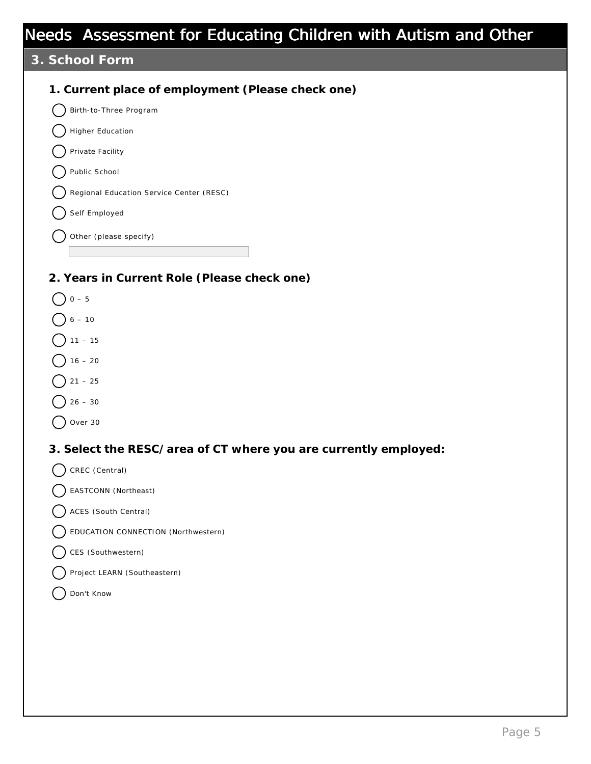| Needs Assessment for Educating Children with Autism and Other   |  |
|-----------------------------------------------------------------|--|
| 3. School Form                                                  |  |
| 1. Current place of employment (Please check one)               |  |
| Birth-to-Three Program                                          |  |
| <b>Higher Education</b>                                         |  |
| Private Facility                                                |  |
| Public School                                                   |  |
| Regional Education Service Center (RESC)                        |  |
| Self Employed                                                   |  |
| Other (please specify)                                          |  |
|                                                                 |  |
| 2. Years in Current Role (Please check one)                     |  |
| $\bigcirc$ 0 - 5                                                |  |
| $6 - 10$                                                        |  |
| $11 - 15$                                                       |  |
| $16 - 20$                                                       |  |
| $21 - 25$                                                       |  |
| $26 - 30$                                                       |  |
| Over 30                                                         |  |
| 3. Select the RESC/area of CT where you are currently employed: |  |
| CREC (Central)                                                  |  |
| EASTCONN (Northeast)                                            |  |
| ACES (South Central)                                            |  |
| EDUCATION CONNECTION (Northwestern)                             |  |
| CES (Southwestern)                                              |  |
| Project LEARN (Southeastern)                                    |  |
| Don't Know                                                      |  |
|                                                                 |  |
|                                                                 |  |
|                                                                 |  |
|                                                                 |  |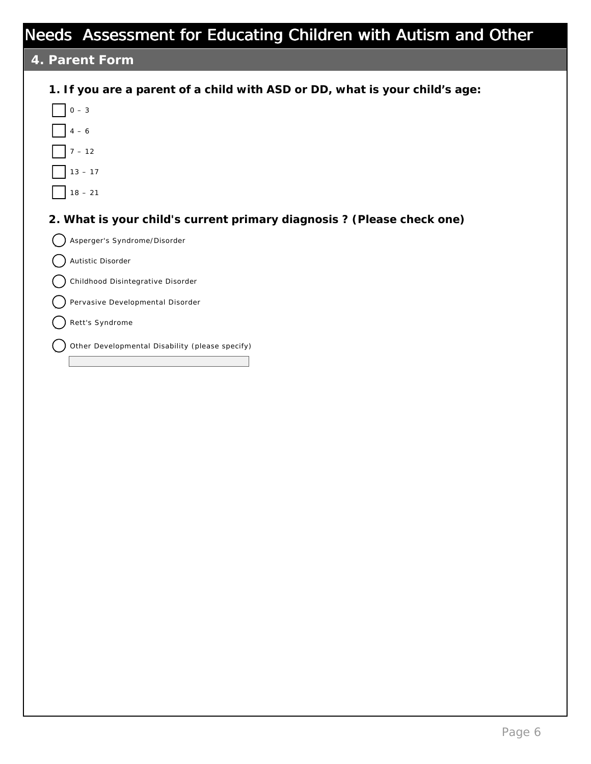# Needs Assessment for Educating Children with Autism and Other **1. If you are a parent of a child with ASD or DD, what is your child's age: 2. What is your child's current primary diagnosis ? (Please check one) 4. Parent Form**  $0 - 3$  $4 - 6$  $7 - 12$  $13 - 17$  $18 - 21$ nmlkj Asperger's Syndrome/Disorder Autistic Disorder Childhood Disintegrative Disorder Pervasive Developmental Disorder Rett's Syndrome Other Developmental Disability (please specify)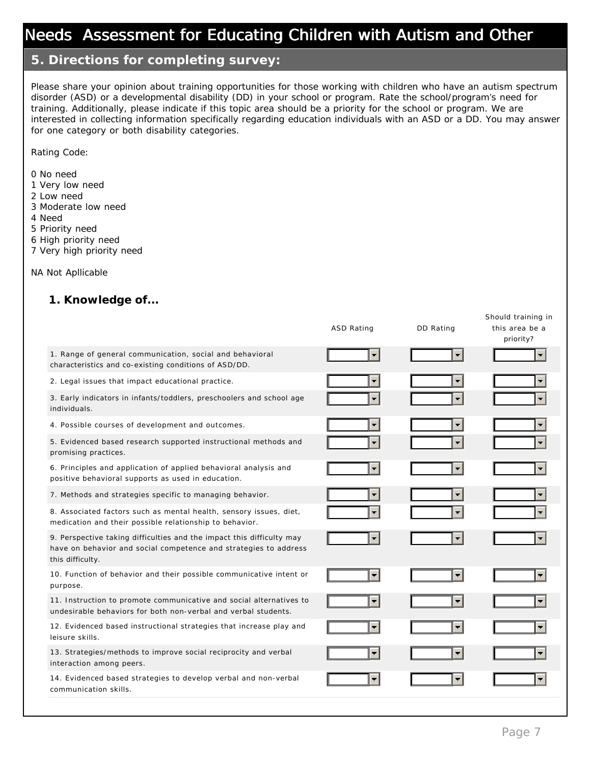### **5. Directions for completing survey:**

Please share your opinion about training opportunities for those working with children who have an autism spectrum disorder (ASD) or a developmental disability (DD) in your school or program. Rate the school/program's need for training. Additionally, please indicate if this topic area should be a priority for the school or program. We are interested in collecting information specifically regarding education individuals with an ASD or a DD. You may answer for one category or both disability categories.

Rating Code:

- 0 No need
- 1 Very low need
- 2 Low need
- 3 Moderate low need
- 4 Need
- 5 Priority need
- 6 High priority need
- 7 Very high priority need

#### NA Not Apllicable

**1. Knowledge of...**

|                                                                                                                                                               | <b>ASD Rating</b> | DD Rating      | this area be a<br>priority? |
|---------------------------------------------------------------------------------------------------------------------------------------------------------------|-------------------|----------------|-----------------------------|
| 1. Range of general communication, social and behavioral<br>characteristics and co-existing conditions of ASD/DD.                                             | $\blacksquare$    | $\blacksquare$ |                             |
| 2. Legal issues that impact educational practice.                                                                                                             |                   |                |                             |
| 3. Early indicators in infants/toddlers, preschoolers and school age<br>individuals.                                                                          |                   |                |                             |
| 4. Possible courses of development and outcomes.                                                                                                              | $\blacksquare$    |                |                             |
| 5. Evidenced based research supported instructional methods and<br>promising practices.                                                                       |                   |                |                             |
| 6. Principles and application of applied behavioral analysis and<br>positive behavioral supports as used in education.                                        | $\blacksquare$    |                |                             |
| 7. Methods and strategies specific to managing behavior.                                                                                                      | $\blacksquare$    |                |                             |
| 8. Associated factors such as mental health, sensory issues, diet,<br>medication and their possible relationship to behavior.                                 | $\blacksquare$    |                |                             |
| 9. Perspective taking difficulties and the impact this difficulty may<br>have on behavior and social competence and strategies to address<br>this difficulty. | $\blacksquare$    | $\blacksquare$ |                             |
| 10. Function of behavior and their possible communicative intent or<br>purpose.                                                                               | $\blacksquare$    |                |                             |
| 11. Instruction to promote communicative and social alternatives to<br>undesirable behaviors for both non-verbal and verbal students.                         |                   |                |                             |
| 12. Evidenced based instructional strategies that increase play and<br>leisure skills.                                                                        | $\blacksquare$    | $\blacksquare$ |                             |
| 13. Strategies/methods to improve social reciprocity and verbal<br>interaction among peers.                                                                   |                   |                |                             |
| 14. Evidenced based strategies to develop verbal and non-verbal<br>communication skills.                                                                      | ٠                 |                |                             |

Should training in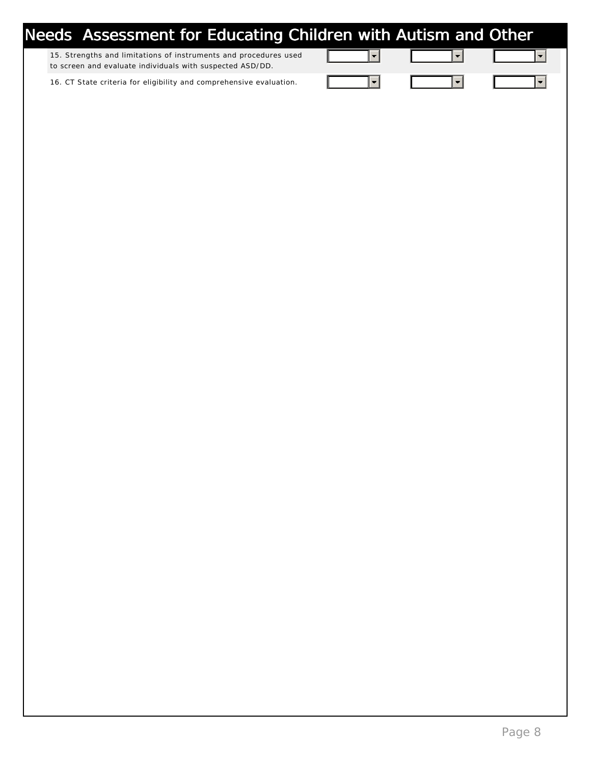|  |                                                           | Needs Assessment for Educating Children with Autism and Other       |  |  |  |  |
|--|-----------------------------------------------------------|---------------------------------------------------------------------|--|--|--|--|
|  | to screen and evaluate individuals with suspected ASD/DD. | 15. Strengths and limitations of instruments and procedures used    |  |  |  |  |
|  |                                                           | 16. CT State criteria for eligibility and comprehensive evaluation. |  |  |  |  |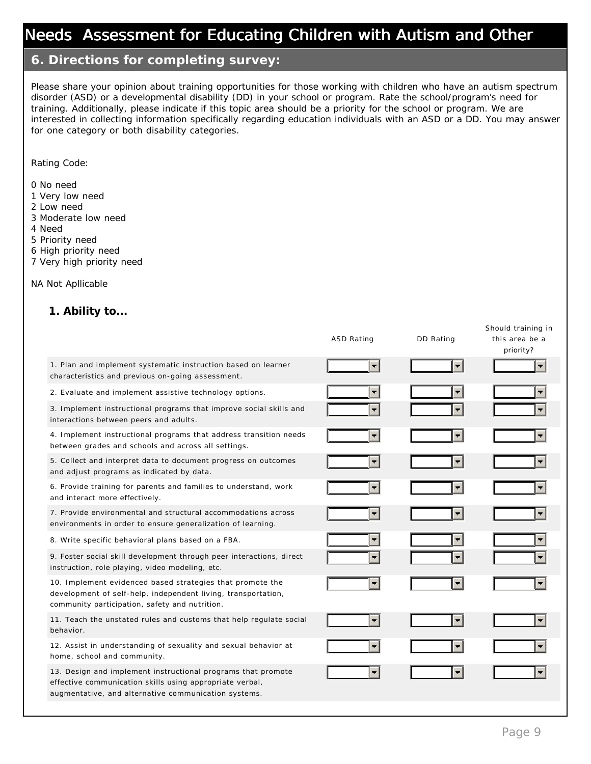### **6. Directions for completing survey:**

Please share your opinion about training opportunities for those working with children who have an autism spectrum disorder (ASD) or a developmental disability (DD) in your school or program. Rate the school/program's need for training. Additionally, please indicate if this topic area should be a priority for the school or program. We are interested in collecting information specifically regarding education individuals with an ASD or a DD. You may answer for one category or both disability categories.

Rating Code:

- 0 No need
- 1 Very low need
- 2 Low need
- 3 Moderate low need
- 4 Need
- 5 Priority need
- 6 High priority need
- 7 Very high priority need

#### NA Not Apllicable

#### **1. Ability to...**

|                                                                                                                                                                                  | <b>ASD Rating</b>    | DD Rating      | Should training in<br>this area be a<br>priority? |
|----------------------------------------------------------------------------------------------------------------------------------------------------------------------------------|----------------------|----------------|---------------------------------------------------|
| 1. Plan and implement systematic instruction based on learner<br>characteristics and previous on-going assessment.                                                               |                      |                |                                                   |
| 2. Evaluate and implement assistive technology options.                                                                                                                          |                      |                |                                                   |
| 3. Implement instructional programs that improve social skills and<br>interactions between peers and adults.                                                                     |                      |                |                                                   |
| 4. Implement instructional programs that address transition needs<br>between grades and schools and across all settings.                                                         |                      |                |                                                   |
| 5. Collect and interpret data to document progress on outcomes<br>and adjust programs as indicated by data.                                                                      |                      |                |                                                   |
| 6. Provide training for parents and families to understand, work<br>and interact more effectively.                                                                               |                      | $\blacksquare$ |                                                   |
| 7. Provide environmental and structural accommodations across<br>environments in order to ensure generalization of learning.                                                     |                      | $\blacksquare$ |                                                   |
| 8. Write specific behavioral plans based on a FBA.                                                                                                                               |                      | $\blacksquare$ |                                                   |
| 9. Foster social skill development through peer interactions, direct<br>instruction, role playing, video modeling, etc.                                                          |                      |                |                                                   |
| 10. Implement evidenced based strategies that promote the<br>development of self-help, independent living, transportation,<br>community participation, safety and nutrition.     |                      |                |                                                   |
| 11. Teach the unstated rules and customs that help regulate social<br>behavior.                                                                                                  | $\blacktriangledown$ | $\blacksquare$ |                                                   |
| 12. Assist in understanding of sexuality and sexual behavior at<br>home, school and community.                                                                                   |                      |                |                                                   |
| 13. Design and implement instructional programs that promote<br>effective communication skills using appropriate verbal,<br>augmentative, and alternative communication systems. |                      |                |                                                   |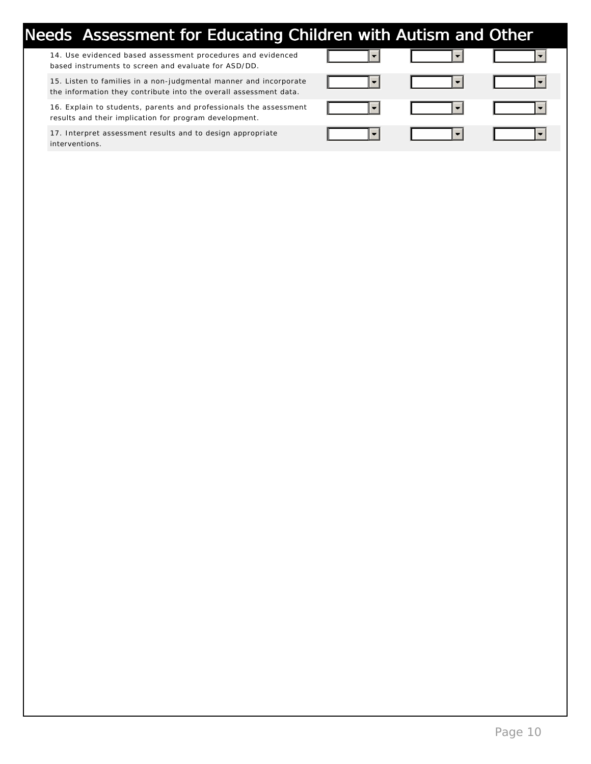| Needs Assessment for Educating Children with Autism and Other                                                                          |  |  |
|----------------------------------------------------------------------------------------------------------------------------------------|--|--|
| 14. Use evidenced based assessment procedures and evidenced<br>based instruments to screen and evaluate for ASD/DD.                    |  |  |
| 15. Listen to families in a non-judgmental manner and incorporate<br>the information they contribute into the overall assessment data. |  |  |
| 16. Explain to students, parents and professionals the assessment<br>results and their implication for program development.            |  |  |
| 17. Interpret assessment results and to design appropriate<br>interventions.                                                           |  |  |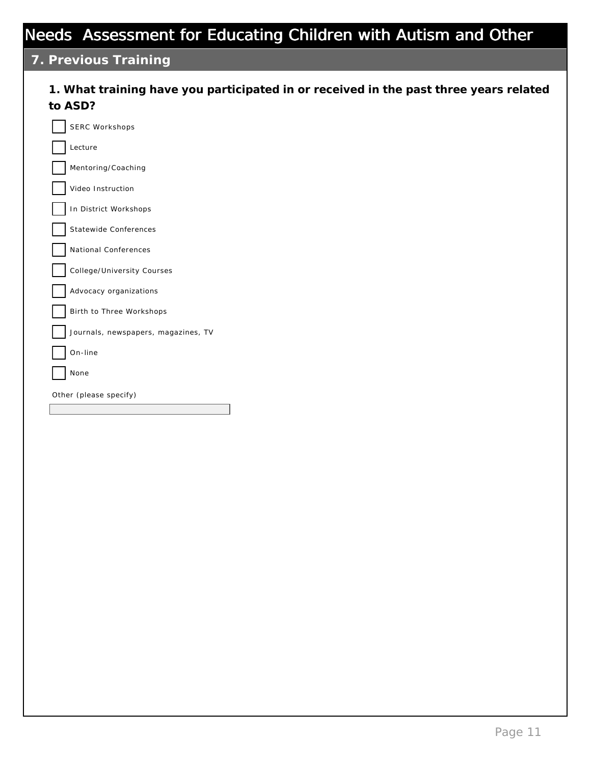## **7. Previous Training**

| 1. What training have you participated in or received in the past three years related |
|---------------------------------------------------------------------------------------|
| to ASD?                                                                               |
| SERC Workshops                                                                        |
| Lecture                                                                               |
| Mentoring/Coaching                                                                    |
| Video Instruction                                                                     |
| In District Workshops                                                                 |
| Statewide Conferences                                                                 |
| National Conferences                                                                  |
| College/University Courses                                                            |
| Advocacy organizations                                                                |
| Birth to Three Workshops                                                              |
| Journals, newspapers, magazines, TV                                                   |
| On-line                                                                               |
| None                                                                                  |
| Other (please specify)                                                                |
|                                                                                       |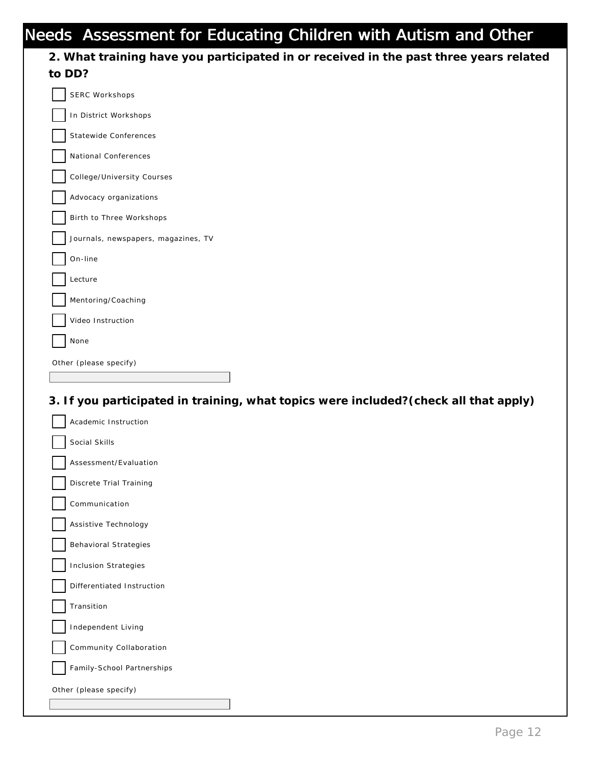| Needs Assessment for Educating Children with Autism and Other                                   |
|-------------------------------------------------------------------------------------------------|
| 2. What training have you participated in or received in the past three years related<br>to DD? |
|                                                                                                 |
| SERC Workshops                                                                                  |
| In District Workshops                                                                           |
| Statewide Conferences                                                                           |
| <b>National Conferences</b>                                                                     |
| College/University Courses                                                                      |
| Advocacy organizations                                                                          |
| Birth to Three Workshops                                                                        |
| Journals, newspapers, magazines, TV                                                             |
| On-line                                                                                         |
| Lecture                                                                                         |
| Mentoring/Coaching                                                                              |
| Video Instruction                                                                               |
| None                                                                                            |
| Other (please specify)                                                                          |
|                                                                                                 |
| 3. If you participated in training, what topics were included? (check all that apply)           |
| Academic Instruction                                                                            |
| Social Skills                                                                                   |
| Assessment/Evaluation                                                                           |
| Discrete Trial Training                                                                         |
| Communication                                                                                   |

|  | Assistive Technology |
|--|----------------------|

| <b>Behavioral Strategies</b> |  |
|------------------------------|--|
|------------------------------|--|

| Inclusion Strategies       |
|----------------------------|
|                            |
| Differentiated Instruction |

| Transition |  |
|------------|--|

Independent Living

Community Collaboration

Family-School Partnerships

Other (please specify)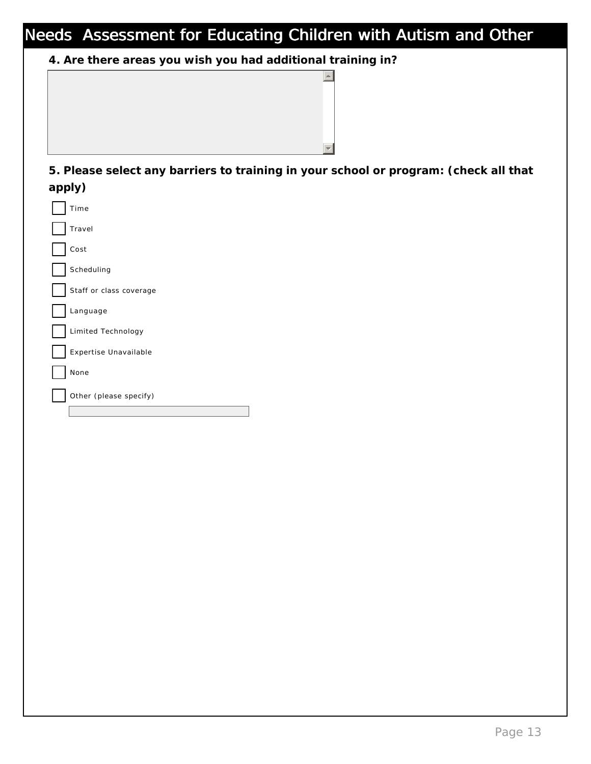|  | Needs Assessment for Educating Children with Autism and Other |
|--|---------------------------------------------------------------|
|  | 4. Are there areas you wish you had additional training in?   |
|  |                                                               |

**5. Please select any barriers to training in your school or program: (check all that apply)**

 $\overline{\psi}$ 

| Time                    |
|-------------------------|
| Travel                  |
| Cost                    |
| Scheduling              |
| Staff or class coverage |
| Language                |
| Limited Technology      |
| Expertise Unavailable   |
| None                    |
| Other (please specify)  |
|                         |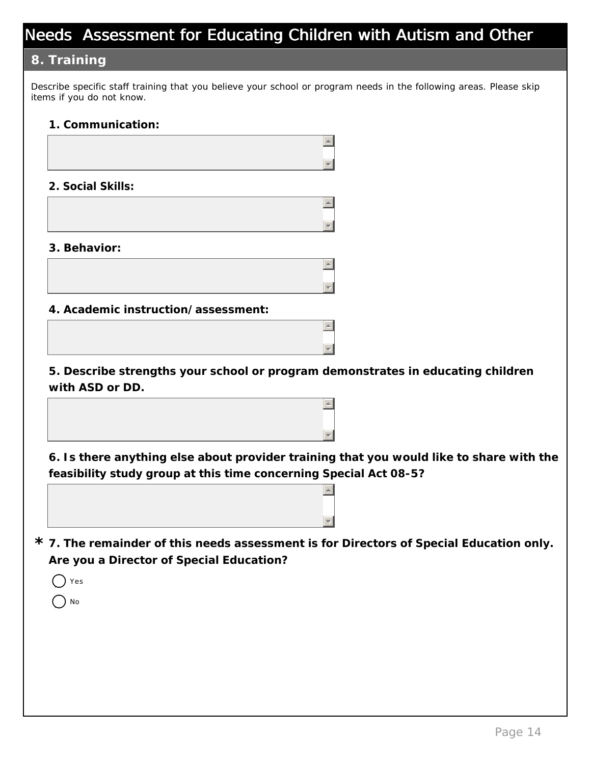### **8. Training**

Describe specific staff training that you believe your school or program needs in the following areas. Please skip items if you do not know.

 $\triangle$ 

**1. Communication:**

**2. Social Skills:**

**3. Behavior:**



**4. Academic instruction/assessment:**

**5. Describe strengths your school or program demonstrates in educating children with ASD or DD.**

**6. Is there anything else about provider training that you would like to share with the feasibility study group at this time concerning Special Act 08-5?** 

 $\triangle$ 

- **7. The remainder of this needs assessment is for Directors of Special Education only. \* Are you a Director of Special Education?**
	- Yes No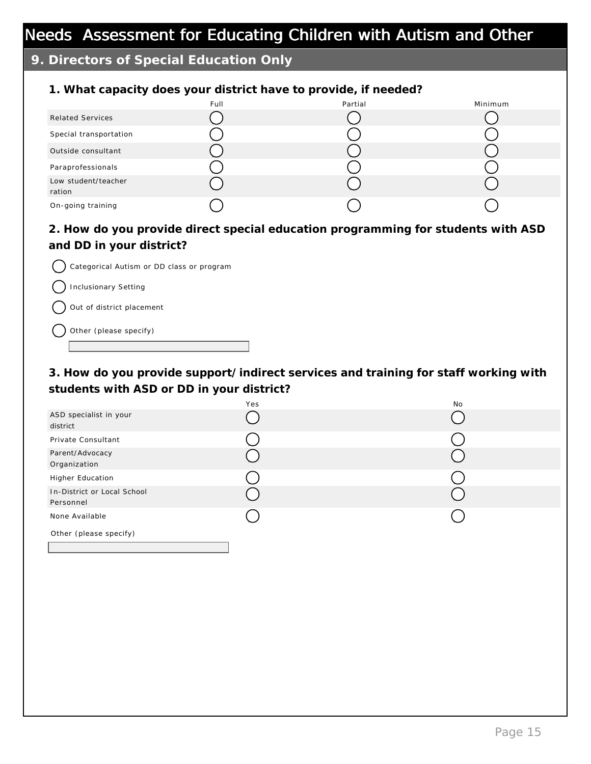### **9. Directors of Special Education Only**

### **1. What capacity does your district have to provide, if needed?**

|                               | Full | Partial | Minimum |
|-------------------------------|------|---------|---------|
| <b>Related Services</b>       |      |         |         |
| Special transportation        |      |         |         |
| Outside consultant            |      |         |         |
| Paraprofessionals             |      |         |         |
| Low student/teacher<br>ration |      |         |         |
| On-going training             |      |         |         |

### **2. How do you provide direct special education programming for students with ASD and DD in your district?**

Categorical Autism or DD class or program

Inclusionary Setting

Out of district placement

Other (please specify)

**3. How do you provide support/indirect services and training for staff working with students with ASD or DD in your district?**

|                                          | Yes | No |
|------------------------------------------|-----|----|
| ASD specialist in your<br>district       |     |    |
| Private Consultant                       |     |    |
| Parent/Advocacy<br>Organization          |     |    |
| <b>Higher Education</b>                  |     |    |
| In-District or Local School<br>Personnel |     |    |
| None Available                           |     |    |
| Other (please specify)                   |     |    |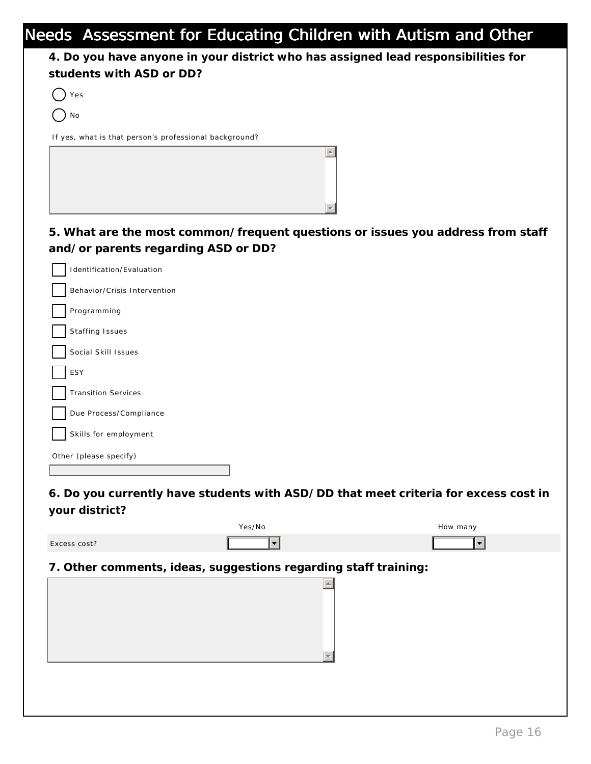| students with ASD or DD?                               |                                                                 |                                                                                     |
|--------------------------------------------------------|-----------------------------------------------------------------|-------------------------------------------------------------------------------------|
| Yes                                                    |                                                                 |                                                                                     |
| No                                                     |                                                                 |                                                                                     |
| If yes, what is that person's professional background? |                                                                 |                                                                                     |
|                                                        | $\triangle$                                                     |                                                                                     |
| and/or parents regarding ASD or DD?                    |                                                                 | 5. What are the most common/frequent questions or issues you address from staff     |
| Identification/Evaluation                              |                                                                 |                                                                                     |
| Behavior/Crisis Intervention                           |                                                                 |                                                                                     |
| Programming                                            |                                                                 |                                                                                     |
| Staffing Issues                                        |                                                                 |                                                                                     |
| Social Skill Issues                                    |                                                                 |                                                                                     |
| ESY                                                    |                                                                 |                                                                                     |
| <b>Transition Services</b>                             |                                                                 |                                                                                     |
| Due Process/Compliance                                 |                                                                 |                                                                                     |
| Skills for employment                                  |                                                                 |                                                                                     |
| Other (please specify)                                 |                                                                 |                                                                                     |
|                                                        |                                                                 |                                                                                     |
| your district?                                         |                                                                 | 6. Do you currently have students with ASD/DD that meet criteria for excess cost in |
|                                                        | Yes/No                                                          | How many                                                                            |
| Excess cost?                                           |                                                                 |                                                                                     |
|                                                        | 7. Other comments, ideas, suggestions regarding staff training: |                                                                                     |
|                                                        |                                                                 |                                                                                     |